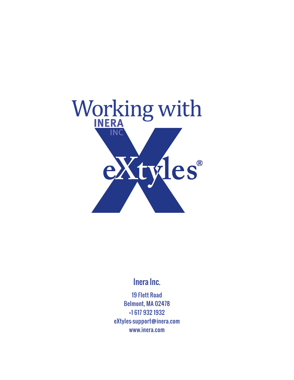

# Inera Inc.

19 Flett Road Belmont, MA 02478 +1 617 932 1932 eXtyles—support@inera.com www.inera.com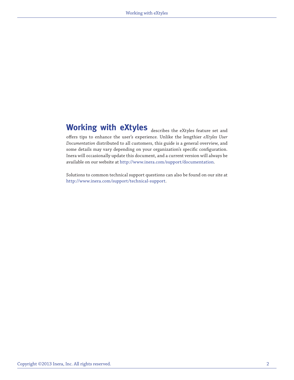# Working with eXtyles describes the eXtyles feature set and

offers tips to enhance the user's experience. Unlike the lengthier *eXtyles User Documentation* distributed to all customers, this guide is a general overview, and some details may vary depending on your organization's specific configuration. Inera will occasionally update this document, and a current version will always be available on our website at http://www.inera.com/support/documentation.

Solutions to common technical support questions can also be found on our site at http://www.inera.com/support/technical-support.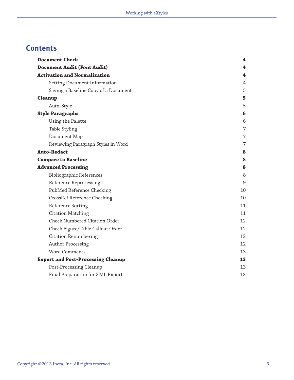# **Contents**

| <b>Document Check</b>                     | 4               |
|-------------------------------------------|-----------------|
| <b>Document Audit (Font Audit)</b>        | 4               |
| <b>Activation and Normalization</b>       | 4               |
| Setting Document Information              | 4               |
| Saving a Baseline Copy of a Document      | 5               |
| <b>Cleanup</b>                            | 5               |
| Auto-Style                                | 5               |
| <b>Style Paragraphs</b>                   | $6\phantom{1}6$ |
| Using the Palette                         | 6               |
| Table Styling                             | $\overline{7}$  |
| Document Map                              | 7               |
| Reviewing Paragraph Styles in Word        | 7               |
| <b>Auto-Redact</b>                        | 8               |
| <b>Compare to Baseline</b>                | 8               |
| <b>Advanced Processing</b>                | 8               |
| Bibliographic References                  | 8               |
| Reference Reprocessing                    | 9               |
| PubMed Reference Checking                 | 10              |
| CrossRef Reference Checking               | 10              |
| Reference Sorting                         | 11              |
| <b>Citation Matching</b>                  | 11              |
| Check Numbered Citation Order             | 12              |
| Check Figure/Table Callout Order          | 12              |
| <b>Citation Renumbering</b>               | 12              |
| <b>Author Processing</b>                  | 12              |
| Word Comments                             | 13              |
| <b>Export and Post-Processing Cleanup</b> | 13              |
| Post-Processing Cleanup                   | 13              |
| Final Preparation for XML Export          | 13              |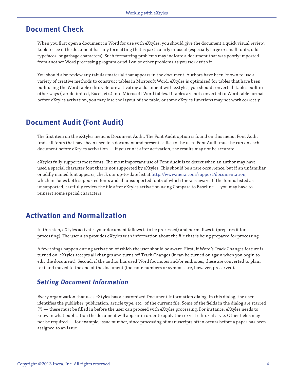### <span id="page-3-0"></span>**Document Check**

When you first open a document in Word for use with eXtyles, you should give the document a quick visual review. Look to see if the document has any formatting that is particularly unusual (especially large or small fonts, odd typefaces, or garbage characters). Such formatting problems may indicate a document that was poorly imported from another Word processing program or will cause other problems as you work with it.

You should also review any tabular material that appears in the document. Authors have been known to use a variety of creative methods to construct tables in Microsoft Word. eXtyles is optimized for tables that have been built using the Word table editor. Before activating a document with eXtyles, you should convert all tables built in other ways (tab-delimited, Excel, etc.) into Microsoft Word tables. If tables are not converted to Word table format before eXtyles activation, you may lose the layout of the table, or some eXtyles functions may not work correctly.

### **Document Audit (Font Audit)**

The first item on the eXtyles menu is Document Audit. The Font Audit option is found on this menu. Font Audit finds all fonts that have been used in a document and presents a list to the user. Font Audit must be run on each document before eXtyles activation — if you run it after activation, the results may not be accurate.

eXtyles fully supports most fonts. The most important use of Font Audit is to detect when an author may have used a special character font that is not supported by eXtyles. This should be a rare occurrence, but if an unfamiliar or oddly named font appears, check our up-to-date list at http://www.inera.com/support/documentation, which includes both supported fonts and all unsupported fonts of which Inera is aware. If the font is listed as unsupported, carefully review the file after eXtyles activation using Compare to Baseline — you may have to reinsert some special characters.

### **Activation and Normalization**

In this step, eXtyles activates your document (allows it to be processed) and normalizes it (prepares it for processing). The user also provides eXtyles with information about the file that is being prepared for processing.

A few things happen during activation of which the user should be aware. First, if Word's Track Changes feature is turned on, eXtyles accepts all changes and turns off Track Changes (it can be turned on again when you begin to edit the document). Second, if the author has used Word footnotes and/or endnotes, these are converted to plain text and moved to the end of the document (footnote numbers or symbols are, however, preserved).

#### **Setting Document Information**

Every organization that uses eXtyles has a customized Document Information dialog. In this dialog, the user identifies the publisher, publication, article type, etc., of the current file. Some of the fields in the dialog are starred (\*) — these must be filled in before the user can proceed with eXtyles processing. For instance, eXtyles needs to know in what publication the document will appear in order to apply the correct editorial style. Other fields may not be required — for example, issue number, since processing of manuscripts often occurs before a paper has been assigned to an issue.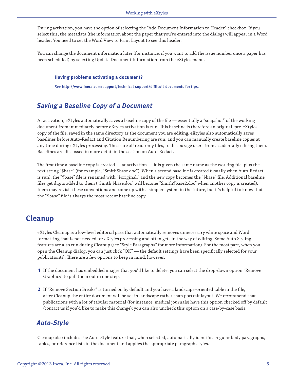<span id="page-4-0"></span>During activation, you have the option of selecting the "Add Document Information to Header" checkbox. If you select this, the metadata (the information about the paper that you've entered into the dialog) will appear in a Word header. You need to set the Word View to Print Layout to see this header.

You can change the document information later (for instance, if you want to add the issue number once a paper has been scheduled) by selecting Update Document Information from the eXtyles menu.

#### **Having problems activating a document?**

See **http://www.inera.com/support/technical-support/difficult-documents for tips**.

#### **Saving a Baseline Copy of a Document**

At activation, eXtyles automatically saves a baseline copy of the file — essentially a "snapshot" of the working document from immediately before eXtyles activation is run. This baseline is therefore an original, pre-eXtyles copy of the file, saved in the same directory as the document you are editing. eXtyles also automatically saves baselines before Auto-Redact and Citation Renumbering are run, and you can manually create baseline copies at any time during eXtyles processing. These are all read-only files, to discourage users from accidentally editing them. Baselines are discussed in more detail in the section on Auto-Redact.

The first time a baseline copy is created — at activation — it is given the same name as the working file, plus the text string "\$base" (for example, "Smith\$base.doc"). When a second baseline is created (usually when Auto-Redact is run), the "\$base" file is renamed with "\$original," and the new copy becomes the "\$base" file. Additional baseline files get digits added to them ("Smith \$base.doc" will become "Smith\$base2.doc" when another copy is created). Inera may revisit these conventions and come up with a simpler system in the future, but it's helpful to know that the "\$base" file is always the most recent baseline copy.

#### **Cleanup**

eXtyles Cleanup is a low-level editorial pass that automatically removes unnecessary white space and Word formatting that is not needed for eXtyles processing and often gets in the way of editing. Some Auto Styling features are also run during Cleanup (see "Style Paragraphs" for more information). For the most part, when you open the Cleanup dialog, you can just click "OK" — the default settings have been specifically selected for your publication(s). There are a few options to keep in mind, however:

- **1** If the document has embedded images that you'd like to delete, you can select the drop-down option "Remove Graphics" to pull them out in one step.
- **2** If "Remove Section Breaks" is turned on by default and you have a landscape-oriented table in the file, after Cleanup the entire document will be set in landscape rather than portrait layout. We recommend that publications with a lot of tabular material (for instance, medical journals) have this option checked off by default (contact us if you'd like to make this change); you can also uncheck this option on a case-by-case basis.

#### **Auto-Style**

Cleanup also includes the Auto-Style feature that, when selected, automatically identifies regular body paragraphs, tables, or reference lists in the document and applies the appropriate paragraph styles.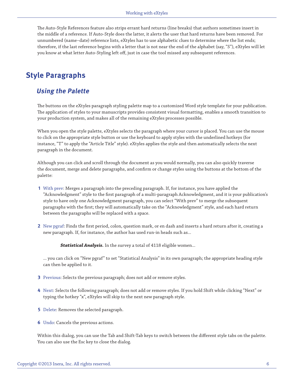<span id="page-5-0"></span>The Auto-Style References feature also strips errant hard returns (line breaks) that authors sometimes insert in the middle of a reference. If Auto-Style does the latter, it alerts the user that hard returns have been removed. For unnumbered (name–date) reference lists, eXtyles has to use alphabetic clues to determine where the list ends; therefore, if the last reference begins with a letter that is not near the end of the alphabet (say, "S"), eXtyles will let you know at what letter Auto-Styling left off, just in case the tool missed any subsequent references.

## **Style Paragraphs**

#### **Using the Palette**

The buttons on the eXtyles paragraph styling palette map to a customized Word style template for your publication. The application of styles to your manuscripts provides consistent visual formatting, enables a smooth transition to your production system, and makes all of the remaining eXtyles processes possible.

When you open the style palette, eXtyles selects the paragraph where your cursor is placed. You can use the mouse to click on the appropriate style button or use the keyboard to apply styles with the underlined hotkeys (for instance, "T" to apply the "Article Title" style). eXtyles applies the style and then automatically selects the next paragraph in the document.

Although you can click and scroll through the document as you would normally, you can also quickly traverse the document, merge and delete paragraphs, and confirm or change styles using the buttons at the bottom of the palette:

- **1** With prev: Merges a paragraph into the preceding paragraph. If, for instance, you have applied the "Acknowledgment" style to the first paragraph of a multi-paragraph Acknowledgment, and it is your publication's style to have only one Acknowledgment paragraph, you can select "With prev" to merge the subsequent paragraphs with the first; they will automatically take on the "Acknowledgment" style, and each hard return between the paragraphs will be replaced with a space.
- **2** New pgraf: Finds the first period, colon, question mark, or en dash and inserts a hard return after it, creating a new paragraph. If, for instance, the author has used run-in heads such as...

*Statistical Analysis.* In the survey a total of 4118 eligible women...

... you can click on "New pgraf" to set "Statistical Analysis" in its own paragraph; the appropriate heading style can then be applied to it.

- **3** Previous: Selects the previous paragraph; does not add or remove styles.
- **4** Next: Selects the following paragraph; does not add or remove styles. If you hold Shift while clicking "Next" or typing the hotkey "x", eXtyles will skip to the next new paragraph style.
- **5** Delete: Removes the selected paragraph.
- **6** Undo: Cancels the previous actions.

Within this dialog, you can use the Tab and Shift-Tab keys to switch between the different style tabs on the palette. You can also use the Esc key to close the dialog.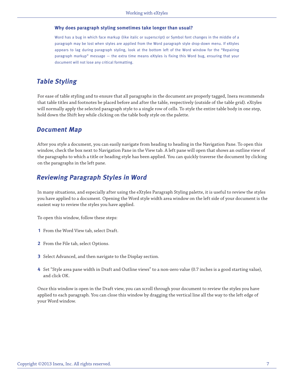#### <span id="page-6-0"></span>**Why does paragraph styling sometimes take longer than usual?**

Word has a bug in which face markup (like italic or superscript) or Symbol font changes in the middle of a paragraph may be lost when styles are applied from the Word paragraph style drop-down menu. If eXtyles appears to lag during paragraph styling, look at the bottom left of the Word window for the "Repairing paragraph markup" message — the extra time means eXtyles is fixing this Word bug, ensuring that your document will not lose any critical formatting.

#### **Table Styling**

For ease of table styling and to ensure that all paragraphs in the document are properly tagged, Inera recommends that table titles and footnotes be placed before and after the table, respectively (outside of the table grid). eXtyles will normally apply the selected paragraph style to a single row of cells. To style the entire table body in one step, hold down the Shift key while clicking on the table body style on the palette.

#### **Document Map**

After you style a document, you can easily navigate from heading to heading in the Navigation Pane. To open this window, check the box next to Navigation Pane in the View tab. A left pane will open that shows an outline view of the paragraphs to which a title or heading style has been applied. You can quickly traverse the document by clicking on the paragraphs in the left pane.

#### **Reviewing Paragraph Styles in Word**

In many situations, and especially after using the eXtyles Paragraph Styling palette, it is useful to review the styles you have applied to a document. Opening the Word style width area window on the left side of your document is the easiest way to review the styles you have applied.

To open this window, follow these steps:

- **1** From the Word View tab, select Draft.
- **2** From the File tab, select Options.
- **3** Select Advanced, and then navigate to the Display section.
- **4** Set "Style area pane width in Draft and Outline views" to a non-zero value (0.7 inches is a good starting value), and click OK.

Once this window is open in the Draft view, you can scroll through your document to review the styles you have applied to each paragraph. You can close this window by dragging the vertical line all the way to the left edge of your Word window.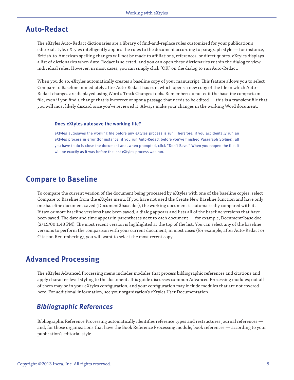### <span id="page-7-0"></span>**Auto-Redact**

The eXtyles Auto-Redact dictionaries are a library of find-and-replace rules customized for your publication's editorial style. eXtyles intelligently applies the rules to the document according to paragraph style — for instance, British-to-American spelling changes will not be made to affiliations, references, or direct quotes. eXtyles displays a list of dictionaries when Auto-Redact is selected, and you can open these dictionaries within the dialog to view individual rules. However, in most cases, you can simply click "OK" on the dialog to run Auto-Redact.

When you do so, eXtyles automatically creates a baseline copy of your manuscript. This feature allows you to select Compare to Baseline immediately after Auto-Redact has run, which opens a new copy of the file in which Auto-Redact changes are displayed using Word's Track Changes tools. Remember: do not edit the baseline comparison file, even if you find a change that is incorrect or spot a passage that needs to be edited — this is a transient file that you will most likely discard once you've reviewed it. Always make your changes in the working Word document.

#### **Does eXtyles autosave the working file?**

eXtyles autosaves the working file before any eXtyles process is run. Therefore, if you accidentally run an eXtyles process in error (for instance, if you run Auto-Redact before you've finished Paragraph Styling), all you have to do is close the document and, when prompted, click "Don't Save." When you reopen the file, it will be exactly as it was before the last eXtyles process was run.

#### **Compare to Baseline**

To compare the current version of the document being processed by eXtyles with one of the baseline copies, select Compare to Baseline from the eXtyles menu. If you have not used the Create New Baseline function and have only one baseline document saved (Document\$base.doc), the working document is automatically compared with it. If two or more baseline versions have been saved, a dialog appears and lists all of the baseline versions that have been saved. The date and time appear in parentheses next to each document — for example, Document\$base.doc (2/15/00 1:43 PM). The most recent version is highlighted at the top of the list. You can select any of the baseline versions to perform the comparison with your current document; in most cases (for example, after Auto-Redact or Citation Renumbering), you will want to select the most recent copy.

### **Advanced Processing**

The eXtyles Advanced Processing menu includes modules that process bibliographic references and citations and apply character-level styling to the document. This guide discusses common Advanced Processing modules; not all of them may be in your eXtyles configuration, and your configuration may include modules that are not covered here. For additional information, see your organization's eXtyles User Documentation.

#### **Bibliographic References**

Bibliographic Reference Processing automatically identifies reference types and restructures journal references and, for those organizations that have the Book Reference Processing module, book references — according to your publication's editorial style.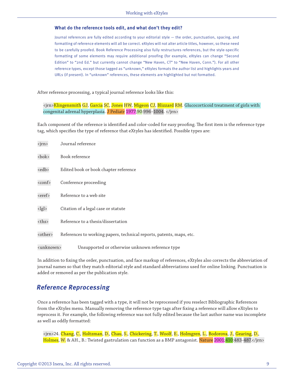#### <span id="page-8-0"></span>**What do the reference tools edit, and what don't they edit?**

Journal references are fully edited according to your editorial style — the order, punctuation, spacing, and formatting of reference elements will all be correct. eXtyles will not alter article titles, however, so these need to be carefully proofed. Book Reference Processing also fully restructures references, but the style-specific formatting of some elements may require additional proofing (for example, eXtyles can change "Second Edition" to "2nd Ed." but currently cannot change "New Haven, CT" to "New Haven, Conn."). For all other reference types, except those tagged as "unknown," eXtyles formats the author list and highlights years and URLs (if present). In "unknown" references, these elements are highlighted but not formatted.

After reference processing, a typical journal reference looks like this:

<jrn>Klingensmith GJ, Garcia SC, Jones HW, Migeon CJ, Blizzard RM. Glucocorticoid treatment of girls with congenital adrenal hyperplasia. J Pediatr 1977;90:996–1004. </jrn>

Each component of the reference is identified and color-coded for easy proofing. The first item is the reference type tag, which specifies the type of reference that eXtyles has identified. Possible types are:

| <jrn></jrn>             | Journal reference                                                    |
|-------------------------|----------------------------------------------------------------------|
| <bok></bok>             | Book reference                                                       |
| <edb></edb>             | Edited book or book chapter reference                                |
| <conf></conf>           | Conference proceeding                                                |
| <eref></eref>           | Reference to a web site                                              |
| $\langle$ lgl $\rangle$ | Citation of a legal case or statute                                  |
| <ths></ths>             | Reference to a thesis/dissertation                                   |
| <other></other>         | References to working papers, technical reports, patents, maps, etc. |
| <unknown></unknown>     | Unsupported or otherwise unknown reference type                      |

In addition to fixing the order, punctuation, and face markup of references, eXtyles also corrects the abbreviation of journal names so that they match editorial style and standard abbreviations used for online linking. Punctuation is added or removed as per the publication style.

#### **Reference Reprocessing**

Once a reference has been tagged with a type, it will not be reprocessed if you reselect Bibliographic References from the eXtyles menu. Manually removing the reference type tags after fixing a reference will allow eXtyles to reprocess it. For example, the following reference was not fully edited because the last author name was incomplete as well as oddly formatted:

<jrn>24. Chang, C., Holtzman, D., Chau, S., Chickering, T., Woolf, E., Holmgren, L., Bodorova, J., Gearing, D., Holmes, W. & AH., B.: Twisted gastrulation can function as a BMP antagonist. Nature 2001;410:483-487.</jrn>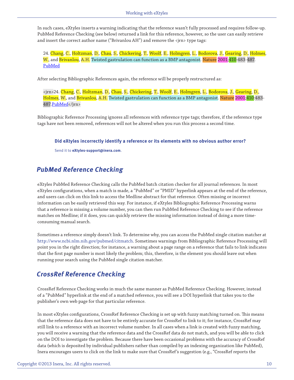<span id="page-9-0"></span>In such cases, eXtyles inserts a warning indicating that the reference wasn't fully processed and requires follow-up. PubMed Reference Checking (see below) returned a link for this reference, however, so the user can easily retrieve and insert the correct author name ("Brivanlou  $AH$ ") and remove the  $\langle$ irn> type tags:

24. Chang, C., Holtzman, D., Chau, S., Chickering, T., Woolf, E., Holmgren, L., Bodorova, J., Gearing, D., Holmes, W., and Brivanlou, A.H. Twisted gastrulation can function as a BMP antagonist. Nature 2001;410:483-487. PubMed

After selecting Bibliographic References again, the reference will be properly restructured as:

<jrn>24. Chang, C., Holtzman, D., Chau, S., Chickering, T., Woolf, E., Holmgren, L., Bodorova, J., Gearing, D., Holmes, W., and Brivanlou, A.H. Twisted gastrulation can function as a BMP antagonist. Nature 2001;410:483- 487. PubMed</jrn>

Bibliographic Reference Processing ignores all references with reference type tags; therefore, if the reference type tags have not been removed, references will not be altered when you run this process a second time.

**Did eXtyles incorrectly identify a reference or its elements with no obvious author error?** 

Send it to **eXtyles-support@inera.com**.

#### **PubMed Reference Checking**

eXtyles PubMed Reference Checking calls the PubMed batch citation checker for all journal references. In most eXtyles configurations, when a match is made, a "PubMed" or "PMID" hyperlink appears at the end of the reference, and users can click on this link to access the Medline abstract for that reference. Often missing or incorrect information can be easily retrieved this way. For instance, if eXtyles Bibliographic Reference Processing warns that a reference is missing a volume number, you can then run PubMed Reference Checking to see if the reference matches on Medline; if it does, you can quickly retrieve the missing information instead of doing a more timeconsuming manual search.

Sometimes a reference simply doesn't link. To determine why, you can access the PubMed single citation matcher at http://www.ncbi.nlm.nih.gov/pubmed/citmatch. Sometimes warnings from Bibliographic Reference Processing will point you in the right direction; for instance, a warning about a page range on a reference that fails to link indicates that the first page number is most likely the problem; this, therefore, is the element you should leave out when running your search using the PubMed single citation matcher.

#### **CrossRef Reference Checking**

CrossRef Reference Checking works in much the same manner as PubMed Reference Checking. However, instead of a "PubMed" hyperlink at the end of a matched reference, you will see a DOI hyperlink that takes you to the publisher's own web page for that particular reference.

In most eXtyles configurations, CrossRef Reference Checking is set up with fuzzy matching turned on. This means that the reference data does not have to be entirely accurate for CrossRef to link to it; for instance, CrossRef may still link to a reference with an incorrect volume number. In all cases when a link is created with fuzzy matching, you will receive a warning that the reference data and the CrossRef data do not match, and you will be able to click on the DOI to investigate the problem. Because there have been occasional problems with the accuracy of CrossRef data (which is deposited by individual publishers rather than compiled by an indexing organization like PubMed), Inera encourages users to click on the link to make sure that CrossRef's suggestion (e.g., "CrossRef reports the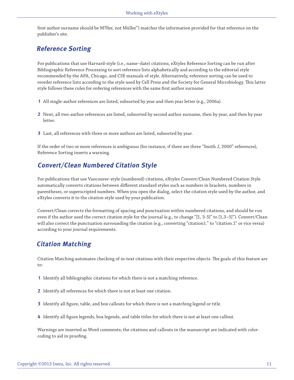<span id="page-10-0"></span>first author surname should be M?ller, not Müller") matches the information provided for that reference on the publisher's site.

### **Reference Sorting**

For publications that use Harvard-style (i.e., name–date) citations, eXtyles Reference Sorting can be run after Bibliographic Reference Processing to sort reference lists alphabetically and according to the editorial style recommended by the APA, Chicago, and CSE manuals of style. Alternatively, reference sorting can be used to reorder reference lists according to the style used by Cell Press and the Society for General Microbiology. This latter style follows these rules for ordering references with the same first author surname:

- **1** All single-author references are listed, subsorted by year and then year letter (e.g., 2006a).
- **2** Next, all two-author references are listed, subsorted by second author surname, then by year, and then by year letter.
- **3** Last, all references with three or more authors are listed, subsorted by year.

If the order of two or more references is ambiguous (for instance, if there are three "Smith J, 2000" references), Reference Sorting inserts a warning.

#### **Convert/Clean Numbered Citation Style**

For publications that use Vancouver-style (numbered) citations, eXtyles Convert/Clean Numbered Citation Style automatically converts citations between different standard styles such as numbers in brackets, numbers in parentheses, or superscripted numbers. When you open the dialog, select the citation style used by the author, and eXtyles converts it to the citation style used by your publication.

Convert/Clean corrects the formatting of spacing and punctuation within numbered citations, and should be run even if the author used the correct citation style for the journal (e.g., to change "[1, 3-5]" to [1,3–5]"). Convert/Clean will also correct the punctuation surrounding the citation (e.g., converting "citation1." to "citation.1" or vice versa) according to your journal requirements.

#### **Citation Matching**

Citation Matching automates checking of in-text citations with their respective objects. The goals of this feature are to:

- **1** Identify all bibliographic citations for which there is not a matching reference.
- **2** Identify all references for which there is not at least one citation.
- **3** Identify all figure, table, and box callouts for which there is not a matching legend or title.
- **4** Identify all figure legends, box legends, and table titles for which there is not at least one callout.

Warnings are inserted as Word comments; the citations and callouts in the manuscript are indicated with colorcoding to aid in proofing.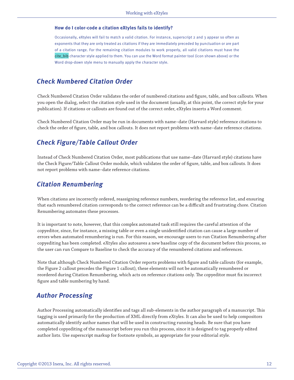#### <span id="page-11-0"></span>**How do I color-code a citation eXtyles fails to identify?**

Occasionally, eXtyles will fail to match a valid citation. For instance, superscript 2 and 3 appear so often as exponents that they are only treated as citations if they are immediately preceded by punctuation or are part of a citation range. For the remaining citation modules to work properly, all valid citations must have the cite\_bib character style applied to them. You can use the Word format painter tool (icon shown above) or the Word drop-down style menu to manually apply the character style.

#### **Check Numbered Citation Order**

Check Numbered Citation Order validates the order of numbered citations and figure, table, and box callouts. When you open the dialog, select the citation style used in the document (usually, at this point, the correct style for your publication). If citations or callouts are found out of the correct order, eXtyles inserts a Word comment.

Check Numbered Citation Order may be run in documents with name–date (Harvard style) reference citations to check the order of figure, table, and box callouts. It does not report problems with name–date reference citations.

#### **Check Figure/Table Callout Order**

Instead of Check Numbered Citation Order, most publications that use name–date (Harvard style) citations have the Check Figure/Table Callout Order module, which validates the order of figure, table, and box callouts. It does not report problems with name–date reference citations.

#### **Citation Renumbering**

When citations are incorrectly ordered, reassigning reference numbers, reordering the reference list, and ensuring that each renumbered citation corresponds to the correct reference can be a difficult and frustrating chore. Citation Renumbering automates these processes.

It is important to note, however, that this complex automated task still requires the careful attention of the copyeditor, since, for instance, a missing table or even a single unidentified citation can cause a large number of errors when automated renumbering is run. For this reason, we encourage users to run Citation Renumbering after copyediting has been completed. eXtyles also autosaves a new baseline copy of the document before this process, so the user can run Compare to Baseline to check the accuracy of the renumbered citations and references.

Note that although Check Numbered Citation Order reports problems with figure and table callouts (for example, the Figure 2 callout precedes the Figure 1 callout), these elements will not be automatically renumbered or reordered during Citation Renumbering, which acts on reference citations only. The copyeditor must fix incorrect figure and table numbering by hand.

#### **Author Processing**

Author Processing automatically identifies and tags all sub-elements in the author paragraph of a manuscript. This tagging is used primarily for the production of XML directly from eXtyles. It can also be used to help compositors automatically identify author names that will be used in constructing running heads. Be sure that you have completed copyediting of the manuscript before you run this process, since it is designed to tag properly edited author lists. Use superscript markup for footnote symbols, as appropriate for your editorial style.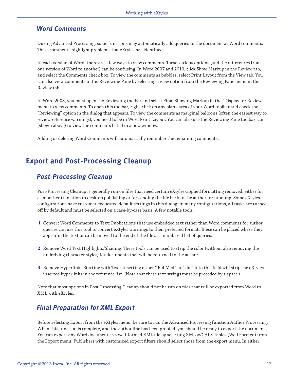#### <span id="page-12-0"></span>**Word Comments**

During Advanced Processing, some functions may automatically add queries to the document as Word comments. These comments highlight problems that eXtyles has identified.

In each version of Word, there are a few ways to view comments. These various options (and the differences from one version of Word to another) can be confusing. In Word 2007 and 2010, click Show Markup in the Review tab, and select the Comments check box. To view the comments as bubbles, select Print Layout from the View tab. You can also view comments in the Reviewing Pane by selecting a view option from the Reviewing Pane menu in the Review tab.

In Word 2003, you must open the Reviewing toolbar and select Final Showing Markup in the "Display for Review" menu to view comments. To open this toolbar, right-click on any blank area of your Word toolbar and check the "Reviewing" option in the dialog that appears. To view the comments as marginal balloons (often the easiest way to review reference warnings), you need to be in Word Print Layout. You can also use the Reviewing Pane toolbar icon (shown above) to view the comments listed in a new window.

Adding or deleting Word Comments will automatically renumber the remaining comments.

### **Export and Post-Processing Cleanup**

#### **Post-Processing Cleanup**

Post-Processing Cleanup is generally run on files that need certain eXtyles-applied formatting removed, either for a smoother transition to desktop publishing or for sending the file back to the author for proofing. Some eXtyles configurations have customer-requested default settings in this dialog; in many configurations, all tasks are turned off by default and must be selected on a case-by-case basis. A few notable tools:

- **1** Convert Word Comments to Text: Publications that use embedded text rather than Word comments for author queries can use this tool to convert eXtyles warnings to their preferred format. These can be placed where they appear in the text or can be moved to the end of the file as a numbered list of queries.
- **2** Remove Word Text Highlights/Shading: These tools can be used to strip the color (without also removing the underlying character styles) for documents that will be returned to the author.
- **3** Remove Hyperlinks Starting with Text: Inserting either " PubMed" or " doi" into this field will strip the eXtylesinserted hyperlinks in the reference list. (Note that these text strings must be preceded by a space.)

Note that most options in Post-Processing Cleanup should not be run on files that will be exported from Word to XML with eXtyles.

### **Final Preparation for XML Export**

Before selecting Export from the eXtyles menu, be sure to run the Advanced Processing function Author Processing. When this function is complete, and the author line has been proofed, you should be ready to export the document. You can export any Word document as a well-formed XML file by selecting XML w/CALS Tables (Well Formed) from the Export menu. Publishers with customized export filters should select those from the export menu. In either